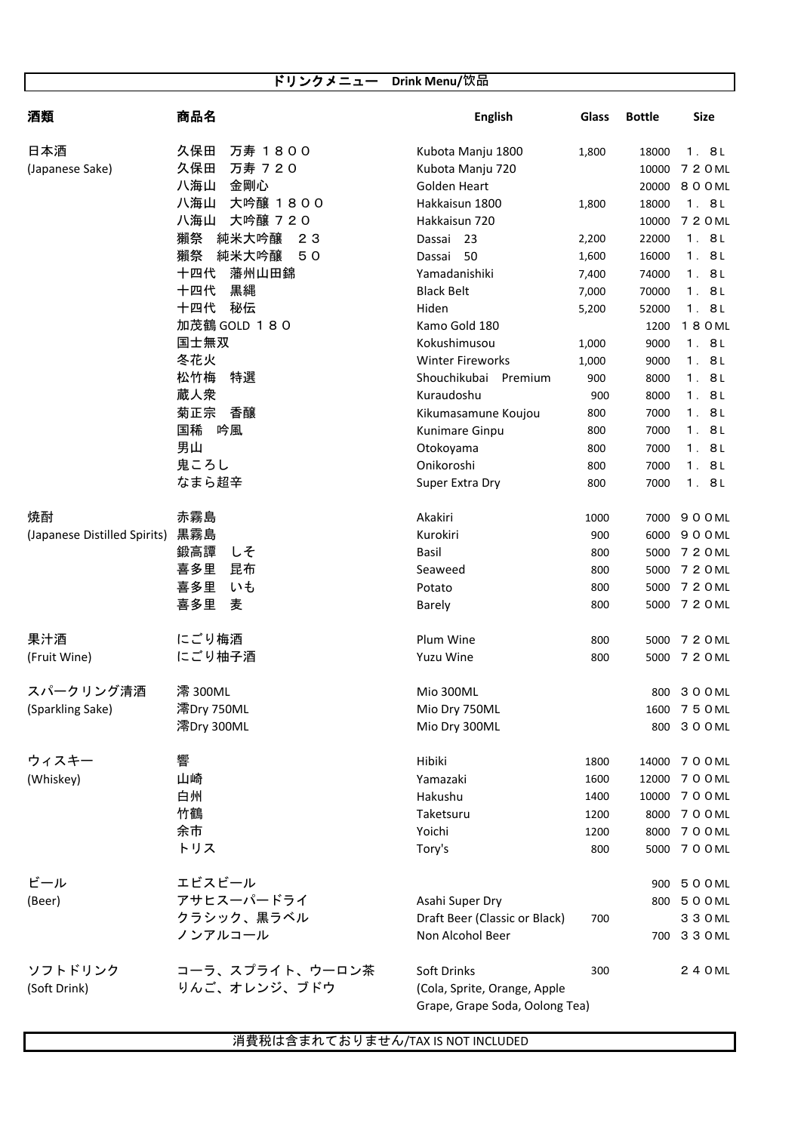|                              | ドリンクメニュー Drink Menu/饮品        |                                 |                |                |                  |
|------------------------------|-------------------------------|---------------------------------|----------------|----------------|------------------|
|                              |                               |                                 |                |                |                  |
| 酒類                           | 商品名                           | <b>English</b>                  | Glass          | <b>Bottle</b>  | <b>Size</b>      |
|                              |                               |                                 |                |                |                  |
| 日本酒                          | 久保田<br>万寿 1800                | Kubota Manju 1800               | 1,800          | 18000          | 1.8L             |
| (Japanese Sake)              | 久保田<br>万寿 720                 | Kubota Manju 720                |                | 10000          | 7 2 0 ML         |
|                              | 八海山<br>金剛心<br>八海山<br>大吟醸 1800 | Golden Heart                    |                | 20000          | 800ML            |
|                              | 八海山<br>大吟醸 720                | Hakkaisun 1800<br>Hakkaisun 720 | 1,800          | 18000<br>10000 | 1.8L<br>7 2 0 ML |
|                              | 獺祭<br>純米大吟醸<br>23             | Dassai 23                       |                | 22000          | 1.8L             |
|                              | 獺祭<br>純米大吟醸<br>50             | 50<br>Dassai                    | 2,200<br>1,600 | 16000          | 1.8L             |
|                              | 藩州山田錦<br>十四代                  | Yamadanishiki                   | 7,400          | 74000          | 1.8L             |
|                              | 十四代<br>黒縄                     | <b>Black Belt</b>               | 7,000          | 70000          | 1.8L             |
|                              | 十四代<br>秘伝                     | Hiden                           | 5,200          | 52000          | 1.8L             |
|                              | 加茂鶴 GOLD 180                  | Kamo Gold 180                   |                | 1200           | 180ML            |
|                              | 国士無双                          | Kokushimusou                    | 1,000          | 9000           | 1.8L             |
|                              | 冬花火                           | <b>Winter Fireworks</b>         | 1,000          | 9000           | 1.8L             |
|                              | 松竹梅<br>特選                     | Shouchikubai<br>Premium         | 900            | 8000           | 1.8L             |
|                              | 蔵人衆                           | Kuraudoshu                      | 900            | 8000           | 1.8L             |
|                              | 菊正宗<br>香醸                     | Kikumasamune Koujou             | 800            | 7000           | 1.8L             |
|                              | 国稀<br>吟風                      | Kunimare Ginpu                  | 800            | 7000           | 1.8L             |
|                              | 男山                            | Otokoyama                       | 800            | 7000           | 1.8L             |
|                              | 鬼ころし                          | Onikoroshi                      | 800            | 7000           | 1.8L             |
|                              | なまら超辛                         | Super Extra Dry                 | 800            | 7000           | 1.8L             |
|                              |                               |                                 |                |                |                  |
| 焼酎                           | 赤霧島                           | Akakiri                         | 1000           | 7000           | 900ML            |
| (Japanese Distilled Spirits) | 黒霧島                           | Kurokiri                        | 900            | 6000           | 900ML            |
|                              | 鍛高譚<br>しそ                     | <b>Basil</b>                    | 800            | 5000           | 7 2 0 ML         |
|                              | 喜多里<br>昆布                     | Seaweed                         | 800            | 5000           | 7 2 0 ML         |
|                              | 喜多里<br>いも                     | Potato                          | 800            | 5000           | 7 2 0 ML         |
|                              | 喜多里<br>麦                      | <b>Barely</b>                   | 800            |                | 5000 7 2 0 ML    |
|                              |                               |                                 |                |                |                  |
| 果汁酒                          | にごり梅酒                         | Plum Wine                       | 800            | 5000           | 7 2 0 ML         |
| (Fruit Wine)                 | にごり柚子酒                        | Yuzu Wine                       | 800            |                | 5000 7 2 0 ML    |
|                              |                               |                                 |                |                |                  |
| スパークリング清酒                    | 澪 300ML                       | Mio 300ML                       |                |                | 800 3 0 0 ML     |
| (Sparkling Sake)             | 澪Dry 750ML                    | Mio Dry 750ML                   |                | 1600           | 750ML            |
|                              | 澪Dry 300ML                    | Mio Dry 300ML                   |                |                | 800 300 ML       |
|                              |                               |                                 |                |                |                  |
| ウィスキー                        | 響                             | Hibiki                          | 1800           | 14000          | 7 0 0 ML         |
| (Whiskey)                    | 山崎                            | Yamazaki                        | 1600           | 12000          | 7 0 0 ML         |
|                              | 白州                            | Hakushu                         | 1400           | 10000          | 700 ML           |
|                              | 竹鶴                            | Taketsuru                       | 1200           | 8000           | 7 0 0 ML         |
|                              | 余市                            | Yoichi                          | 1200           | 8000           | 700ML            |
|                              | トリス                           | Tory's                          | 800            | 5000           | 7 0 0 ML         |
|                              |                               |                                 |                |                |                  |
| ビール                          | エビスビール                        |                                 |                |                | 900 500ML        |
| (Beer)                       | アサヒスーパードライ                    | Asahi Super Dry                 |                |                | 800 500 ML       |
|                              | クラシック、黒ラベル                    | Draft Beer (Classic or Black)   | 700            |                | 3 3 0 ML         |
|                              | ノンアルコール                       | Non Alcohol Beer                |                | 700            | 3 3 0 ML         |
|                              |                               |                                 |                |                |                  |
| ソフトドリンク                      | コーラ、スプライト、ウーロン茶               | Soft Drinks                     | 300            |                | 2 4 0 ML         |
| (Soft Drink)                 | りんご、オレンジ、ブドウ                  | (Cola, Sprite, Orange, Apple    |                |                |                  |

Grape, Grape Soda, Oolong Tea)

消費税は含まれておりません/TAX IS NOT INCLUDED